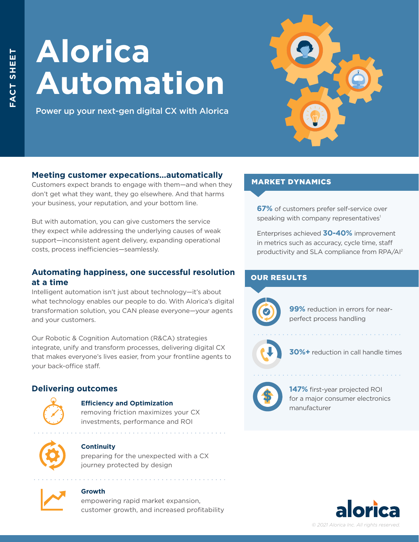# **Alorica Automation**

Power up your next-gen digital CX with Alorica



# **Meeting customer expecations…automatically**

Customers expect brands to engage with them—and when they don't get what they want, they go elsewhere. And that harms your business, your reputation, and your bottom line.

But with automation, you can give customers the service they expect while addressing the underlying causes of weak support—inconsistent agent delivery, expanding operational costs, process inefficiencies—seamlessly.

# **Automating happiness, one successful resolution at a time**

Intelligent automation isn't just about technology—it's about what technology enables our people to do. With Alorica's digital transformation solution, you CAN please everyone—your agents and your customers.

Our Robotic & Cognition Automation (R&CA) strategies integrate, unify and transform processes, delivering digital CX that makes everyone's lives easier, from your frontline agents to your back-office staff.

# **Delivering outcomes**



#### **Efficiency and Optimization**

removing friction maximizes your CX investments, performance and ROI



## **Continuity**

preparing for the unexpected with a CX journey protected by design



#### **Growth**

empowering rapid market expansion, customer growth, and increased profitability

# MARKET DYNAMICS

**67%** of customers prefer self-service over speaking with company representatives<sup>1</sup>

Enterprises achieved **30-40%** improvement in metrics such as accuracy, cycle time, staff productivity and SLA compliance from RPA/AI2

## OUR RESULTS



**99%** reduction in errors for nearperfect process handling



**30%+** reduction in call handle times



**147%** first-year projected ROI for a major consumer electronics manufacturer